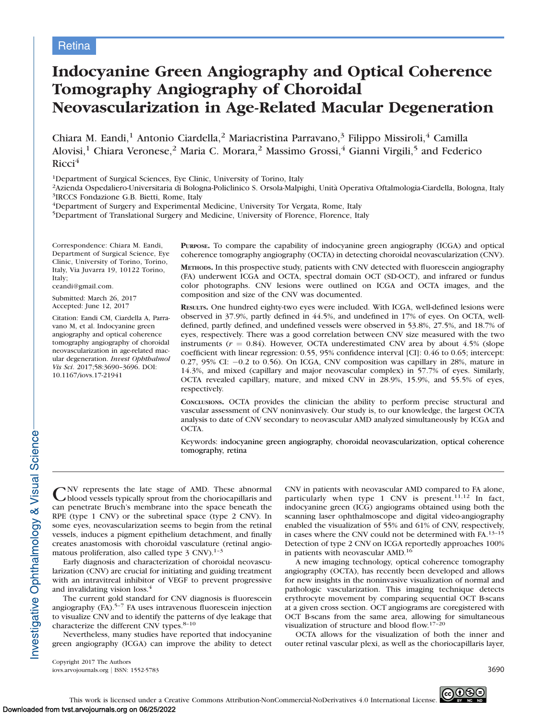# Indocyanine Green Angiography and Optical Coherence Tomography Angiography of Choroidal Neovascularization in Age-Related Macular Degeneration

Chiara M. Eandi,<sup>1</sup> Antonio Ciardella,<sup>2</sup> Mariacristina Parravano,<sup>3</sup> Filippo Missiroli,<sup>4</sup> Camilla Alovisi,<sup>1</sup> Chiara Veronese,<sup>2</sup> Maria C. Morara,<sup>2</sup> Massimo Grossi,<sup>4</sup> Gianni Virgili,<sup>5</sup> and Federico  $Ricci<sup>4</sup>$ 

1Department of Surgical Sciences, Eye Clinic, University of Torino, Italy

<sup>2</sup>Azienda Ospedaliero-Universitaria di Bologna-Policlinico S. Orsola-Malpighi, Unità Operativa Oftalmologia-Ciardella, Bologna, Italy <sup>3</sup>IRCCS Fondazione G.B. Bietti, Rome, Italy

4Department of Surgery and Experimental Medicine, University Tor Vergata, Rome, Italy

5Department of Translational Surgery and Medicine, University of Florence, Florence, Italy

Correspondence: Chiara M. Eandi, Department of Surgical Science, Eye Clinic, University of Torino, Torino, Italy, Via Juvarra 19, 10122 Torino, Italy;

ceandi@gmail.com.

Submitted: March 26, 2017 Accepted: June 12, 2017

Citation: Eandi CM, Ciardella A, Parravano M, et al. Indocyanine green angiography and optical coherence tomography angiography of choroidal neovascularization in age-related macular degeneration. Invest Ophthalmol Vis Sci. 2017;58:3690–3696. DOI: 10.1167/iovs.17-21941

PURPOSE. To compare the capability of indocyanine green angiography (ICGA) and optical coherence tomography angiography (OCTA) in detecting choroidal neovascularization (CNV).

METHODS. In this prospective study, patients with CNV detected with fluorescein angiography (FA) underwent ICGA and OCTA, spectral domain OCT (SD-OCT), and infrared or fundus color photographs. CNV lesions were outlined on ICGA and OCTA images, and the composition and size of the CNV was documented.

RESULTS. One hundred eighty-two eyes were included. With ICGA, well-defined lesions were observed in 37.9%, partly defined in 44.5%, and undefined in 17% of eyes. On OCTA, welldefined, partly defined, and undefined vessels were observed in 53.8%, 27.5%, and 18.7% of eyes, respectively. There was a good correlation between CNV size measured with the two instruments ( $r = 0.84$ ). However, OCTA underestimated CNV area by about 4.5% (slope coefficient with linear regression: 0.55, 95% confidence interval [CI]: 0.46 to 0.65; intercept:  $0.27$ ,  $95\%$  CI:  $-0.2$  to  $0.56$ ). On ICGA, CNV composition was capillary in 28%, mature in 14.3%, and mixed (capillary and major neovascular complex) in 57.7% of eyes. Similarly, OCTA revealed capillary, mature, and mixed CNV in 28.9%, 15.9%, and 55.5% of eyes, respectively.

CONCLUSIONS. OCTA provides the clinician the ability to perform precise structural and vascular assessment of CNV noninvasively. Our study is, to our knowledge, the largest OCTA analysis to date of CNV secondary to neovascular AMD analyzed simultaneously by ICGA and OCTA.

Keywords: indocyanine green angiography, choroidal neovascularization, optical coherence tomography, retina

CNV represents the late stage of AMD. These abnormal blood vessels typically sprout from the choriocapillaris and can penetrate Bruch's membrane into the space beneath the RPE (type 1 CNV) or the subretinal space (type 2 CNV). In some eyes, neovascularization seems to begin from the retinal vessels, induces a pigment epithelium detachment, and finally creates anastomosis with choroidal vasculature (retinal angiomatous proliferation, also called type  $3$  CNV).<sup>1-3</sup>

Early diagnosis and characterization of choroidal neovascularization (CNV) are crucial for initiating and guiding treatment with an intravitreal inhibitor of VEGF to prevent progressive and invalidating vision loss.<sup>4</sup>

The current gold standard for CNV diagnosis is fluorescein angiography  $(FA)$ <sup>5-7</sup> FA uses intravenous fluorescein injection to visualize CNV and to identify the patterns of dye leakage that characterize the different CNV types.<sup>8-10</sup>

Nevertheless, many studies have reported that indocyanine green angiography (ICGA) can improve the ability to detect CNV in patients with neovascular AMD compared to FA alone, particularly when type 1 CNV is present.<sup>11,12</sup> In fact, indocyanine green (ICG) angiograms obtained using both the scanning laser ophthalmoscope and digital video-angiography enabled the visualization of 55% and 61% of CNV, respectively, in cases where the CNV could not be determined with FA.13–15 Detection of type 2 CNV on ICGA reportedly approaches 100% in patients with neovascular AMD.16

A new imaging technology, optical coherence tomography angiography (OCTA), has recently been developed and allows for new insights in the noninvasive visualization of normal and pathologic vascularization. This imaging technique detects erythrocyte movement by comparing sequential OCT B-scans at a given cross section. OCT angiograms are coregistered with OCT B-scans from the same area, allowing for simultaneous visualization of structure and blood flow.17–20

OCTA allows for the visualization of both the inner and outer retinal vascular plexi, as well as the choriocapillaris layer,

Copyright 2017 The Authors iovs.arvojournals.org j ISSN: 1552-5783 3690



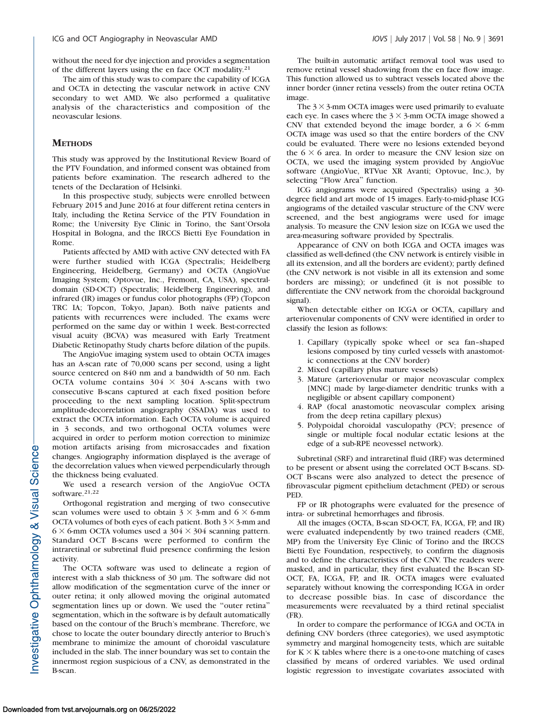without the need for dye injection and provides a segmentation of the different layers using the en face OCT modality.<sup>21</sup>

The aim of this study was to compare the capability of ICGA and OCTA in detecting the vascular network in active CNV secondary to wet AMD. We also performed a qualitative analysis of the characteristics and composition of the neovascular lesions.

## **METHODS**

This study was approved by the Institutional Review Board of the PTV Foundation, and informed consent was obtained from patients before examination. The research adhered to the tenets of the Declaration of Helsinki.

In this prospective study, subjects were enrolled between February 2015 and June 2016 at four different retina centers in Italy, including the Retina Service of the PTV Foundation in Rome; the University Eye Clinic in Torino, the Sant'Orsola Hospital in Bologna, and the IRCCS Bietti Eye Foundation in Rome.

Patients affected by AMD with active CNV detected with FA were further studied with ICGA (Spectralis; Heidelberg Engineering, Heidelberg, Germany) and OCTA (AngioVue Imaging System; Optovue, Inc., Fremont, CA, USA), spectraldomain (SD-OCT) (Spectralis; Heidelberg Engineering), and infrared (IR) images or fundus color photographs (FP) (Topcon TRC IA; Topcon, Tokyo, Japan). Both naïve patients and patients with recurrences were included. The exams were performed on the same day or within 1 week. Best-corrected visual acuity (BCVA) was measured with Early Treatment Diabetic Retinopathy Study charts before dilation of the pupils.

The AngioVue imaging system used to obtain OCTA images has an A-scan rate of 70,000 scans per second, using a light source centered on 840 nm and a bandwidth of 50 nm. Each OCTA volume contains  $304 \times 304$  A-scans with two consecutive B-scans captured at each fixed position before proceeding to the next sampling location. Split-spectrum amplitude-decorrelation angiography (SSADA) was used to extract the OCTA information. Each OCTA volume is acquired in 3 seconds, and two orthogonal OCTA volumes were acquired in order to perform motion correction to minimize motion artifacts arising from microsaccades and fixation changes. Angiography information displayed is the average of the decorrelation values when viewed perpendicularly through the thickness being evaluated.

We used a research version of the AngioVue OCTA software.<sup>21,22</sup>

Orthogonal registration and merging of two consecutive scan volumes were used to obtain  $3 \times 3$ -mm and  $6 \times 6$ -mm OCTA volumes of both eyes of each patient. Both  $3 \times 3$ -mm and  $6 \times 6$ -mm OCTA volumes used a  $304 \times 304$  scanning pattern. Standard OCT B-scans were performed to confirm the intraretinal or subretinal fluid presence confirming the lesion activity.

The OCTA software was used to delineate a region of interest with a slab thickness of 30 µm. The software did not allow modification of the segmentation curve of the inner or outer retina; it only allowed moving the original automated segmentation lines up or down. We used the ''outer retina'' segmentation, which in the software is by default automatically based on the contour of the Bruch's membrane. Therefore, we chose to locate the outer boundary directly anterior to Bruch's membrane to minimize the amount of choroidal vasculature included in the slab. The inner boundary was set to contain the innermost region suspicious of a CNV, as demonstrated in the B-scan.

The built-in automatic artifact removal tool was used to remove retinal vessel shadowing from the en face flow image. This function allowed us to subtract vessels located above the inner border (inner retina vessels) from the outer retina OCTA image.

The  $3 \times 3$ -mm OCTA images were used primarily to evaluate each eye. In cases where the  $3 \times 3$ -mm OCTA image showed a CNV that extended beyond the image border, a  $6 \times 6$ -mm OCTA image was used so that the entire borders of the CNV could be evaluated. There were no lesions extended beyond the  $6 \times 6$  area. In order to measure the CNV lesion size on OCTA, we used the imaging system provided by AngioVue software (AngioVue, RTVue XR Avanti; Optovue, Inc.), by selecting "Flow Area" function.

ICG angiograms were acquired (Spectralis) using a 30 degree field and art mode of 15 images. Early-to-mid-phase ICG angiograms of the detailed vascular structure of the CNV were screened, and the best angiograms were used for image analysis. To measure the CNV lesion size on ICGA we used the area-measuring software provided by Spectralis.

Appearance of CNV on both ICGA and OCTA images was classified as well-defined (the CNV network is entirely visible in all its extension, and all the borders are evident); partly defined (the CNV network is not visible in all its extension and some borders are missing); or undefined (it is not possible to differentiate the CNV network from the choroidal background signal).

When detectable either on ICGA or OCTA, capillary and arteriovenular components of CNV were identified in order to classify the lesion as follows:

- 1. Capillary (typically spoke wheel or sea fan–shaped lesions composed by tiny curled vessels with anastomotic connections at the CNV border)
- 2. Mixed (capillary plus mature vessels)
- 3. Mature (arteriovenular or major neovascular complex [MNC] made by large-diameter dendritic trunks with a negligible or absent capillary component)
- 4. RAP (focal anastomotic neovascular complex arising from the deep retina capillary plexus)
- 5. Polypoidal choroidal vasculopathy (PCV; presence of single or multiple focal nodular ectatic lesions at the edge of a sub-RPE neovessel network).

Subretinal (SRF) and intraretinal fluid (IRF) was determined to be present or absent using the correlated OCT B-scans. SD-OCT B-scans were also analyzed to detect the presence of fibrovascular pigment epithelium detachment (PED) or serous PED.

FP or IR photographs were evaluated for the presence of intra- or subretinal hemorrhages and fibrosis.

All the images (OCTA, B-scan SD-OCT, FA, ICGA, FP, and IR) were evaluated independently by two trained readers (CME, MP) from the University Eye Clinic of Torino and the IRCCS Bietti Eye Foundation, respectively, to confirm the diagnosis and to define the characteristics of the CNV. The readers were masked, and in particular, they first evaluated the B-scan SD-OCT, FA, ICGA, FP, and IR. OCTA images were evaluated separately without knowing the corresponding ICGA in order to decrease possible bias. In case of discordance the measurements were reevaluated by a third retinal specialist (FR).

In order to compare the performance of ICGA and OCTA in defining CNV borders (three categories), we used asymptotic symmetry and marginal homogeneity tests, which are suitable for  $K \times K$  tables where there is a one-to-one matching of cases classified by means of ordered variables. We used ordinal logistic regression to investigate covariates associated with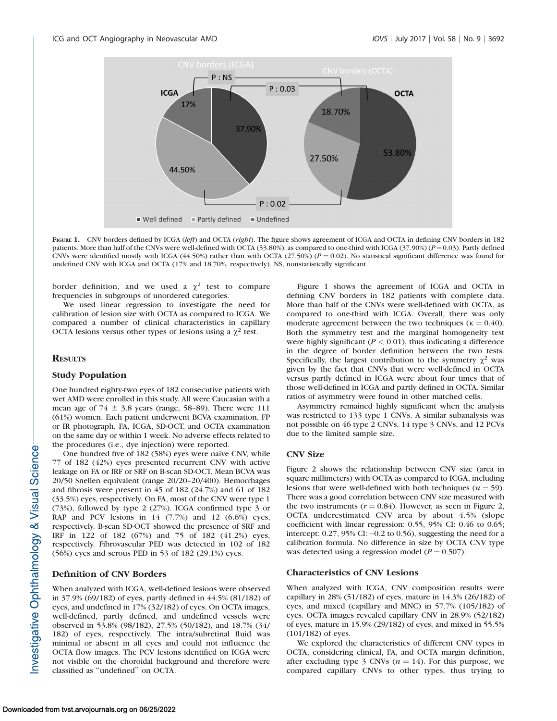

FIGURE 1. CNV borders defined by ICGA (left) and OCTA (right). The figure shows agreement of ICGA and OCTA in defining CNV borders in 182 patients. More than half of the CNVs were well-defined with OCTA (53.80%), as compared to one-third with ICGA (37.90%) ( $P = 0.03$ ). Partly defined CNVs were identified mostly with ICGA (44.50%) rather than with OCTA (27.50%) ( $P = 0.02$ ). No statistical significant difference was found for undefined CNV with ICGA and OCTA (17% and 18.70%, respectively). NS, nonstatistically significant.

border definition, and we used a  $\chi^2$  test to compare frequencies in subgroups of unordered categories.

We used linear regression to investigate the need for calibration of lesion size with OCTA as compared to ICGA. We compared a number of clinical characteristics in capillary OCTA lesions versus other types of lesions using a  $\chi^2$  test.

#### **RESULTS**

## Study Population

One hundred eighty-two eyes of 182 consecutive patients with wet AMD were enrolled in this study. All were Caucasian with a mean age of  $74 \pm 3.8$  years (range, 58-89). There were 111 (61%) women. Each patient underwent BCVA examination, FP or IR photograph, FA, ICGA, SD-OCT, and OCTA examination on the same day or within 1 week. No adverse effects related to the procedures (i.e., dye injection) were reported.

One hundred five of 182 (58%) eyes were naïve CNV, while 77 of 182 (42%) eyes presented recurrent CNV with active leakage on FA or IRF or SRF on B-scan SD-OCT. Mean BCVA was 20/50 Snellen equivalent (range 20/20–20/400). Hemorrhages and fibrosis were present in 45 of 182 (24.7%) and 61 of 182 (33.5%) eyes, respectively. On FA, most of the CNV were type 1 (73%), followed by type 2 (27%). ICGA confirmed type 3 or RAP and PCV lesions in  $14$   $(7.7%)$  and  $12$   $(6.6%)$  eyes, respectively. B-scan SD-OCT showed the presence of SRF and IRF in 122 of 182 (67%) and 75 of 182 (41.2%) eyes, respectively. Fibrovascular PED was detected in 102 of 182 (56%) eyes and serous PED in 53 of 182 (29.1%) eyes.

# Definition of CNV Borders

When analyzed with ICGA, well-defined lesions were observed in 37.9% (69/182) of eyes, partly defined in 44.5% (81/182) of eyes, and undefined in 17% (32/182) of eyes. On OCTA images, well-defined, partly defined, and undefined vessels were observed in 53.8% (98/182), 27.5% (50/182), and 18.7% (34/ 182) of eyes, respectively. The intra/subretinal fluid was minimal or absent in all eyes and could not influence the OCTA flow images. The PCV lesions identified on ICGA were not visible on the choroidal background and therefore were classified as ''undefined'' on OCTA.

Figure 1 shows the agreement of ICGA and OCTA in defining CNV borders in 182 patients with complete data. More than half of the CNVs were well-defined with OCTA, as compared to one-third with ICGA. Overall, there was only moderate agreement between the two techniques ( $\kappa = 0.40$ ). Both the symmetry test and the marginal homogeneity test were highly significant ( $P < 0.01$ ), thus indicating a difference in the degree of border definition between the two tests. Specifically, the largest contribution to the symmetry  $\chi^2$  was given by the fact that CNVs that were well-defined in OCTA versus partly defined in ICGA were about four times that of those well-defined in ICGA and partly defined in OCTA. Similar ratios of asymmetry were found in other matched cells.

Asymmetry remained highly significant when the analysis was restricted to 133 type 1 CNVs. A similar subanalysis was not possible on 46 type 2 CNVs, 14 type 3 CNVs, and 12 PCVs due to the limited sample size.

#### CNV Size

Figure 2 shows the relationship between CNV size (area in square millimeters) with OCTA as compared to ICGA, including lesions that were well-defined with both techniques ( $n = 59$ ). There was a good correlation between CNV size measured with the two instruments ( $r = 0.84$ ). However, as seen in Figure 2, OCTA underestimated CNV area by about 4.5% (slope coefficient with linear regression: 0.55, 95% CI: 0.46 to 0.65; intercept:  $0.27$ ,  $95\%$  CI:  $-0.2$  to  $0.56$ ), suggesting the need for a calibration formula. No difference in size by OCTA CNV type was detected using a regression model ( $P = 0.507$ ).

#### Characteristics of CNV Lesions

When analyzed with ICGA, CNV composition results were capillary in 28% (51/182) of eyes, mature in 14.3% (26/182) of eyes, and mixed (capillary and MNC) in 57.7% (105/182) of eyes. OCTA images revealed capillary CNV in 28.9% (52/182) of eyes, mature in 15.9% (29/182) of eyes, and mixed in 55.5% (101/182) of eyes.

We explored the characteristics of different CNV types in OCTA, considering clinical, FA, and OCTA margin definition, after excluding type 3 CNVs ( $n = 14$ ). For this purpose, we compared capillary CNVs to other types, thus trying to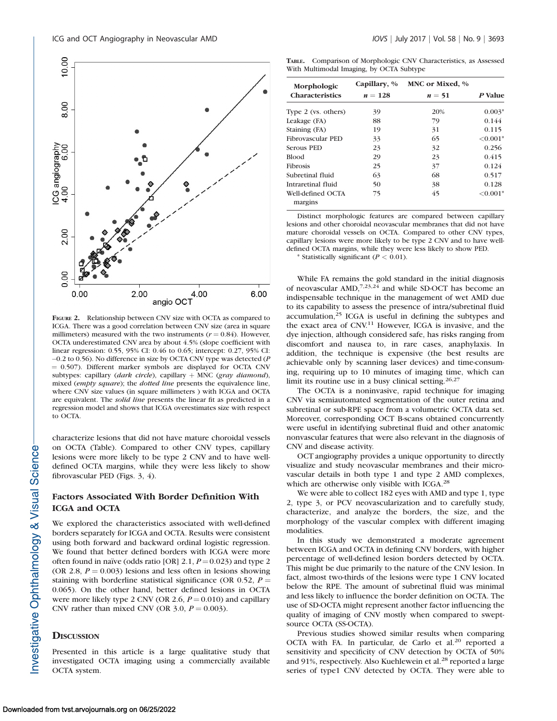

FIGURE 2. Relationship between CNV size with OCTA as compared to ICGA. There was a good correlation between CNV size (area in square millimeters) measured with the two instruments ( $r = 0.84$ ). However, OCTA underestimated CNV area by about 4.5% (slope coefficient with linear regression: 0.55, 95% CI: 0.46 to 0.65; intercept: 0.27, 95% CI: -0.2 to 0.56). No difference in size by OCTA CNV type was detected (P  $= 0.507$ ). Different marker symbols are displayed for OCTA CNV subtypes: capillary (dark circle), capillary  $+$  MNC (gray diamond), mixed (empty square); the dotted line presents the equivalence line, where CNV size values (in square millimeters ) with ICGA and OCTA are equivalent. The solid line presents the linear fit as predicted in a regression model and shows that ICGA overestimates size with respect to OCTA.

characterize lesions that did not have mature choroidal vessels on OCTA (Table). Compared to other CNV types, capillary lesions were more likely to be type 2 CNV and to have welldefined OCTA margins, while they were less likely to show fibrovascular PED (Figs. 3, 4).

# Factors Associated With Border Definition With ICGA and OCTA

We explored the characteristics associated with well-defined borders separately for ICGA and OCTA. Results were consistent using both forward and backward ordinal logistic regression. We found that better defined borders with ICGA were more often found in naïve (odds ratio [OR] 2.1,  $P = 0.023$ ) and type 2 (OR 2.8,  $P = 0.003$ ) lesions and less often in lesions showing staining with borderline statistical significance (OR 0.52,  $P =$ 0.065). On the other hand, better defined lesions in OCTA were more likely type 2 CNV (OR 2.6,  $P = 0.010$ ) and capillary CNV rather than mixed CNV (OR  $3.0, P = 0.003$ ).

# **DISCUSSION**

Presented in this article is a large qualitative study that investigated OCTA imaging using a commercially available OCTA system.

TABLE. Comparison of Morphologic CNV Characteristics, as Assessed With Multimodal Imaging, by OCTA Subtype

| Morphologic<br><b>Characteristics</b> | Capillary, %<br>$n = 128$ | MNC or Mixed, %<br>$n=51$ | P Value   |
|---------------------------------------|---------------------------|---------------------------|-----------|
|                                       |                           |                           |           |
| Leakage (FA)                          | 88                        | 79                        | 0.144     |
| Staining (FA)                         | 19                        | 31                        | 0.115     |
| Fibrovascular PED                     | 33                        | 65                        | $<0.001*$ |
| Serous PED                            | 23                        | 32                        | 0.256     |
| <b>Blood</b>                          | 29                        | 23                        | 0.415     |
| <b>Fibrosis</b>                       | 25                        | 37                        | 0.124     |
| Subretinal fluid                      | 63                        | 68                        | 0.517     |
| Intraretinal fluid                    | 50                        | 38                        | 0.128     |
| Well-defined OCTA<br>margins          | 75                        | 45                        | $<0.001*$ |

Distinct morphologic features are compared between capillary lesions and other choroidal neovascular membranes that did not have mature choroidal vessels on OCTA. Compared to other CNV types, capillary lesions were more likely to be type 2 CNV and to have welldefined OCTA margins, while they were less likely to show PED.

\* Statistically significant ( $P < 0.01$ ).

While FA remains the gold standard in the initial diagnosis of neovascular  $\text{AMD}^{7,23,24}$  and while SD-OCT has become an indispensable technique in the management of wet AMD due to its capability to assess the presence of intra/subretinal fluid accumulation,<sup>25</sup> ICGA is useful in defining the subtypes and the exact area of CNV.<sup>11</sup> However, ICGA is invasive, and the dye injection, although considered safe, has risks ranging from discomfort and nausea to, in rare cases, anaphylaxis. In addition, the technique is expensive (the best results are achievable only by scanning laser devices) and time-consuming, requiring up to 10 minutes of imaging time, which can limit its routine use in a busy clinical setting.<sup>26,27</sup>

The OCTA is a noninvasive, rapid technique for imaging CNV via semiautomated segmentation of the outer retina and subretinal or sub-RPE space from a volumetric OCTA data set. Moreover, corresponding OCT B-scans obtained concurrently were useful in identifying subretinal fluid and other anatomic nonvascular features that were also relevant in the diagnosis of CNV and disease activity.

OCT angiography provides a unique opportunity to directly visualize and study neovascular membranes and their microvascular details in both type 1 and type 2 AMD complexes, which are otherwise only visible with ICGA.<sup>28</sup>

We were able to collect 182 eyes with AMD and type 1, type 2, type 3, or PCV neovascularization and to carefully study, characterize, and analyze the borders, the size, and the morphology of the vascular complex with different imaging modalities.

In this study we demonstrated a moderate agreement between ICGA and OCTA in defining CNV borders, with higher percentage of well-defined lesion borders detected by OCTA. This might be due primarily to the nature of the CNV lesion. In fact, almost two-thirds of the lesions were type 1 CNV located below the RPE. The amount of subretinal fluid was minimal and less likely to influence the border definition on OCTA. The use of SD-OCTA might represent another factor influencing the quality of imaging of CNV mostly when compared to sweptsource OCTA (SS-OCTA).

Previous studies showed similar results when comparing OCTA with FA. In particular, de Carlo et al.<sup>20</sup> reported a sensitivity and specificity of CNV detection by OCTA of 50% and 91%, respectively. Also Kuehlewein et al.<sup>28</sup> reported a large series of type1 CNV detected by OCTA. They were able to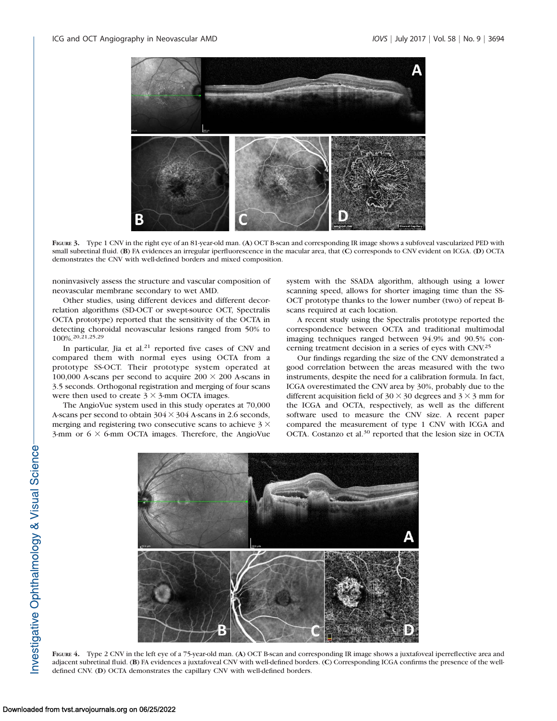

FIGURE 3. Type 1 CNV in the right eye of an 81-year-old man. (A) OCT B-scan and corresponding IR image shows a subfoveal vascularized PED with small subretinal fluid. (B) FA evidences an irregular iperfluorescence in the macular area, that (C) corresponds to CNV evident on ICGA. (D) OCTA demonstrates the CNV with well-defined borders and mixed composition.

noninvasively assess the structure and vascular composition of neovascular membrane secondary to wet AMD.

Other studies, using different devices and different decorrelation algorithms (SD-OCT or swept-source OCT, Spectralis OCTA prototype) reported that the sensitivity of the OCTA in detecting choroidal neovascular lesions ranged from 50% to 100%.20,21,25,29

In particular, Jia et al. $21$  reported five cases of CNV and compared them with normal eyes using OCTA from a prototype SS-OCT. Their prototype system operated at 100,000 A-scans per second to acquire  $200 \times 200$  A-scans in 3.5 seconds. Orthogonal registration and merging of four scans were then used to create  $3 \times 3$ -mm OCTA images.

The AngioVue system used in this study operates at 70,000 A-scans per second to obtain  $304 \times 304$  A-scans in 2.6 seconds, merging and registering two consecutive scans to achieve  $3 \times$ 3-mm or  $6 \times 6$ -mm OCTA images. Therefore, the AngioVue system with the SSADA algorithm, although using a lower scanning speed, allows for shorter imaging time than the SS-OCT prototype thanks to the lower number (two) of repeat Bscans required at each location.

A recent study using the Spectralis prototype reported the correspondence between OCTA and traditional multimodal imaging techniques ranged between 94.9% and 90.5% concerning treatment decision in a series of eyes with CNV.25

Our findings regarding the size of the CNV demonstrated a good correlation between the areas measured with the two instruments, despite the need for a calibration formula. In fact, ICGA overestimated the CNV area by 30%, probably due to the different acquisition field of  $30 \times 30$  degrees and  $3 \times 3$  mm for the ICGA and OCTA, respectively, as well as the different software used to measure the CNV size. A recent paper compared the measurement of type 1 CNV with ICGA and OCTA. Costanzo et al.<sup>30</sup> reported that the lesion size in OCTA



FIGURE 4. Type 2 CNV in the left eye of a 75-year-old man. (A) OCT B-scan and corresponding IR image shows a juxtafoveal iperreflective area and adjacent subretinal fluid. (B) FA evidences a juxtafoveal CNV with well-defined borders. (C) Corresponding ICGA confirms the presence of the welldefined CNV. (D) OCTA demonstrates the capillary CNV with well-defined borders.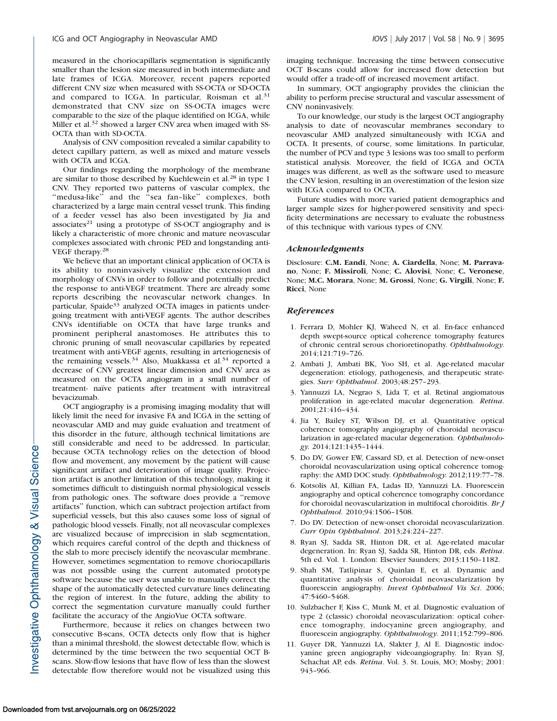measured in the choriocapillaris segmentation is significantly smaller than the lesion size measured in both intermediate and late frames of ICGA. Moreover, recent papers reported different CNV size when measured with SS-OCTA or SD-OCTA and compared to ICGA. In particular, Roisman et al.<sup>31</sup> demonstrated that CNV size on SS-OCTA images were comparable to the size of the plaque identified on ICGA, while Miller et al.<sup>32</sup> showed a larger CNV area when imaged with SS-OCTA than with SD-OCTA.

Analysis of CNV composition revealed a similar capability to detect capillary pattern, as well as mixed and mature vessels with OCTA and ICGA.

Our findings regarding the morphology of the membrane are similar to those described by Kuehlewein et al.<sup>28</sup> in type 1 CNV. They reported two patterns of vascular complex, the "medusa-like" and the "sea fan-like" complexes, both characterized by a large main central vessel trunk. This finding of a feeder vessel has also been investigated by Jia and associates $21$  using a prototype of SS-OCT angiography and is likely a characteristic of more chronic and mature neovascular complexes associated with chronic PED and longstanding anti-VEGF therapy.28

We believe that an important clinical application of OCTA is its ability to noninvasively visualize the extension and morphology of CNVs in order to follow and potentially predict the response to anti-VEGF treatment. There are already some reports describing the neovascular network changes. In particular, Spaide<sup>33</sup> analyzed OCTA images in patients undergoing treatment with anti-VEGF agents. The author describes CNVs identifiable on OCTA that have large trunks and prominent peripheral anastomoses. He attributes this to chronic pruning of small neovascular capillaries by repeated treatment with anti-VEGF agents, resulting in arteriogenesis of the remaining vessels.<sup>34</sup> Also, Muakkassa et al.<sup>34</sup> reported a decrease of CNV greatest linear dimension and CNV area as measured on the OCTA angiogram in a small number of treatment- naïve patients after treatment with intravitreal bevacizumab.

OCT angiography is a promising imaging modality that will likely limit the need for invasive FA and ICGA in the setting of neovascular AMD and may guide evaluation and treatment of this disorder in the future, although technical limitations are still considerable and need to be addressed. In particular, because OCTA technology relies on the detection of blood flow and movement, any movement by the patient will cause significant artifact and deterioration of image quality. Projection artifact is another limitation of this technology, making it sometimes difficult to distinguish normal physiological vessels from pathologic ones. The software does provide a ''remove artifacts'' function, which can subtract projection artifact from superficial vessels, but this also causes some loss of signal of pathologic blood vessels. Finally, not all neovascular complexes are visualized because of imprecision in slab segmentation, which requires careful control of the depth and thickness of the slab to more precisely identify the neovascular membrane. However, sometimes segmentation to remove choriocapillaris was not possible using the current automated prototype software because the user was unable to manually correct the shape of the automatically detected curvature lines delineating the region of interest. In the future, adding the ability to correct the segmentation curvature manually could further facilitate the accuracy of the AngioVue OCTA software.

Furthermore, because it relies on changes between two consecutive B-scans, OCTA detects only flow that is higher than a minimal threshold, the slowest detectable flow, which is determined by the time between the two sequential OCT Bscans. Slow-flow lesions that have flow of less than the slowest detectable flow therefore would not be visualized using this imaging technique. Increasing the time between consecutive OCT B-scans could allow for increased flow detection but would offer a trade-off of increased movement artifact.

In summary, OCT angiography provides the clinician the ability to perform precise structural and vascular assessment of CNV noninvasively.

To our knowledge, our study is the largest OCT angiography analysis to date of neovascular membranes secondary to neovascular AMD analyzed simultaneously with ICGA and OCTA. It presents, of course, some limitations. In particular, the number of PCV and type 3 lesions was too small to perform statistical analysis. Moreover, the field of ICGA and OCTA images was different, as well as the software used to measure the CNV lesion, resulting in an overestimation of the lesion size with ICGA compared to OCTA.

Future studies with more varied patient demographics and larger sample sizes for higher-powered sensitivity and specificity determinations are necessary to evaluate the robustness of this technique with various types of CNV.

#### Acknowledgments

Disclosure: C.M. Eandi, None; A. Ciardella, None; M. Parravano, None; F. Missiroli, None; C. Alovisi, None; C. Veronese, None; M.C. Morara, None; M. Grossi, None; G. Virgili, None; F. Ricci, None

#### References

- 1. Ferrara D, Mohler KJ, Waheed N, et al. En-face enhanced depth swept-source optical coherence tomography features of chronic central serous chorioretinopathy. Ophthalmology. 2014;121:719–726.
- 2. Ambati J, Ambati BK, Yoo SH, et al. Age-related macular degeneration: etiology, pathogenesis, and therapeutic strategies. Surv Ophthalmol. 2003;48:257–293.
- 3. Yannuzzi LA, Negrao S, Lida T, et al. Retinal angiomatous proliferation in age-related macular degeneration. Retina. 2001;21:416–434.
- 4. Jia Y, Bailey ST, Wilson DJ, et al. Quantitative optical coherence tomography angiography of choroidal neovascularization in age-related macular degeneration. Ophthalmology. 2014;121:1435–1444.
- 5. Do DV, Gower EW, Cassard SD, et al. Detection of new-onset choroidal neovascularization using optical coherence tomography: the AMD DOC study. Ophthalmology. 2012;119:77–78.
- 6. Kotsolis AI, Killian FA, Ladas ID, Yannuzzi LA. Fluorescein angiography and optical coherence tomography concordance for choroidal neovascularization in multifocal choroiditis. Br J Ophthalmol. 2010;94:1506–1508.
- 7. Do DV. Detection of new-onset choroidal neovascularization. Curr Opin Ophthalmol. 2013;24:224–227.
- 8. Ryan SJ, Sadda SR, Hinton DR, et al. Age-related macular degeneration. In: Ryan SJ, Sadda SR, Hinton DR, eds. Retina. 5th ed. Vol. 1. London: Elsevier Saunders; 2013:1150–1182.
- 9. Shah SM, Tatlipinar S, Quinlan E, et al. Dynamic and quantitative analysis of choroidal neovascularization by fluorescein angiography. Invest Ophthalmol Vis Sci. 2006; 47:5460–5468.
- 10. Sulzbacher F, Kiss C, Munk M, et al. Diagnostic evaluation of type 2 (classic) choroidal neovascularization: optical coherence tomography, indocyanine green angiography, and fluorescein angiography. Ophthalmology. 2011;152:799–806.
- 11. Guyer DR, Yannuzzi LA, Slakter J, Al E. Diagnostic indocyanine green angiography videoangiography. In: Ryan SJ, Schachat AP, eds. Retina. Vol. 3. St. Louis, MO; Mosby; 2001: 943–966.

nvestigative Ophthalmology & Visual Science